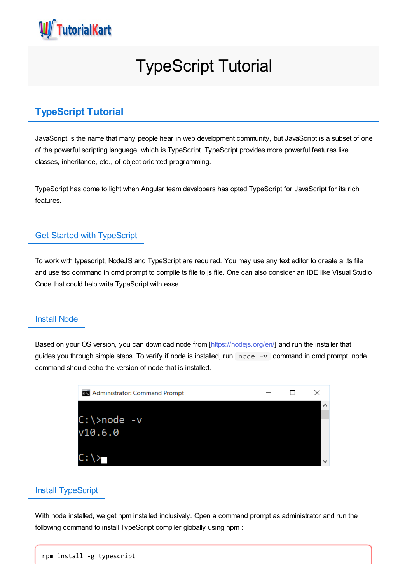

# TypeScript Tutorial

# **TypeScript Tutorial**

JavaScript is the name that many people hear in web development community, but JavaScript is a subset of one of the powerful scripting language, which is TypeScript. TypeScript provides more powerful features like classes, inheritance, etc., of object oriented programming.

TypeScript has come to light when Angular team developers has opted TypeScript for JavaScript for its rich features.

#### Get Started with TypeScript

To work with typescript, NodeJS and TypeScript are required. You may use any text editor to create a .ts file and use tsc command in cmd prompt to compile ts file to js file. One can also consider an IDE like Visual Studio Code that could help write TypeScript with ease.

#### Install Node

Based on your OS version, you can download node from [\[https://nodejs.org/en/](https://nodejs.org/en/)] and run the installer that guides you through simple steps. To verify if node is installed, run  $\log_{10}$  node  $\log_{10}$  command in cmd prompt. node command should echo the version of node that is installed.

| <b>GK</b> Administrator: Command Prompt |  |  |
|-----------------------------------------|--|--|
|                                         |  |  |
| $C:\rangle$ node -v                     |  |  |
| v10.6.0                                 |  |  |
|                                         |  |  |
|                                         |  |  |

#### Install TypeScript

With node installed, we get npm installed inclusively. Open a command prompt as administrator and run the following command to install TypeScript compiler globally using npm :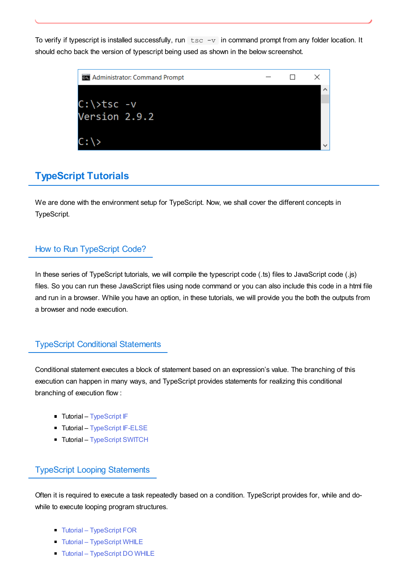To verify if typescript is installed successfully, run  $\text{tsc} -v$  in command prompt from any folder location. It should echo back the version of typescript being used as shown in the below screenshot.



## **TypeScript Tutorials**

We are done with the environment setup for TypeScript. Now, we shall cover the different concepts in TypeScript.

### How to Run TypeScript Code?

In these series of TypeScript tutorials, we will compile the typescript code (.ts) files to JavaScript code (.js) files. So you can run these JavaScript files using node command or you can also include this code in a html file and run in a browser. While you have an option, in these tutorials, we will provide you the both the outputs from a browser and node execution.

### TypeScript Conditional Statements

Conditional statement executes a block of statement based on an expression's value. The branching of this execution can happen in many ways, and TypeScript provides statements for realizing this conditional branching of execution flow :

- Tutorial [TypeScript](https://www.tutorialkart.com/typescript/typescript-if/) IF
- **Tutorial [TypeScript](https://www.tutorialkart.com/typescript/typescript-if-else/) IF-ELSE**
- Tutorial [TypeScript](https://www.tutorialkart.com/typescript/typescript-switch/) SWITCH

## TypeScript Looping Statements

Often it is required to execute a task repeatedly based on a condition. TypeScript provides for, while and dowhile to execute looping program structures.

- Tutorial [TypeScript](https://www.tutorialkart.com/typescript/typescript-for-loop/) FOR
- **Tutorial [TypeScript](https://www.tutorialkart.com/typescript/typescript-while-loop/) WHILE**
- Tutorial [TypeScript](https://www.tutorialkart.com/typescript/typescript-do-while-loop/) DO WHILE